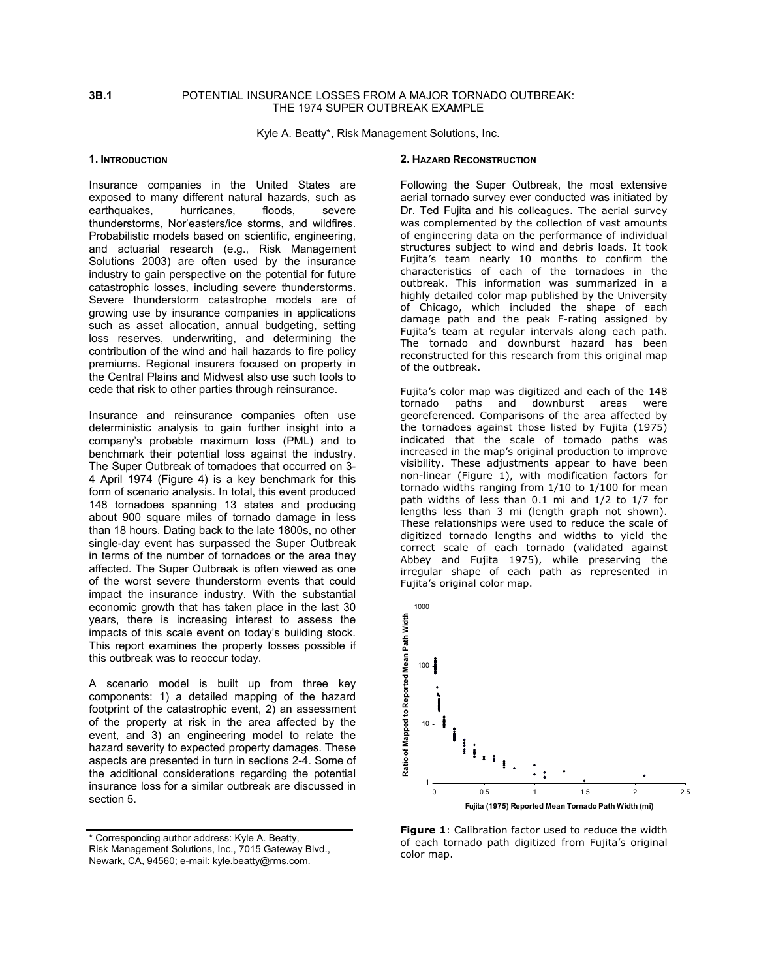# **3B.1** POTENTIAL INSURANCE LOSSES FROM A MAJOR TORNADO OUTBREAK: THE 1974 SUPER OUTBREAK EXAMPLE

Kyle A. Beatty\*, Risk Management Solutions, Inc.

### **1. INTRODUCTION**

Insurance companies in the United States are exposed to many different natural hazards, such as earthquakes, hurricanes, floods, severe thunderstorms, Nor'easters/ice storms, and wildfires. Probabilistic models based on scientific, engineering, and actuarial research (e.g., Risk Management Solutions 2003) are often used by the insurance industry to gain perspective on the potential for future catastrophic losses, including severe thunderstorms. Severe thunderstorm catastrophe models are of growing use by insurance companies in applications such as asset allocation, annual budgeting, setting loss reserves, underwriting, and determining the contribution of the wind and hail hazards to fire policy premiums. Regional insurers focused on property in the Central Plains and Midwest also use such tools to cede that risk to other parties through reinsurance.

Insurance and reinsurance companies often use deterministic analysis to gain further insight into a company's probable maximum loss (PML) and to benchmark their potential loss against the industry. The Super Outbreak of tornadoes that occurred on 3- 4 April 1974 (Figure 4) is a key benchmark for this form of scenario analysis. In total, this event produced 148 tornadoes spanning 13 states and producing about 900 square miles of tornado damage in less than 18 hours. Dating back to the late 1800s, no other single-day event has surpassed the Super Outbreak in terms of the number of tornadoes or the area they affected. The Super Outbreak is often viewed as one of the worst severe thunderstorm events that could impact the insurance industry. With the substantial economic growth that has taken place in the last 30 years, there is increasing interest to assess the impacts of this scale event on today's building stock. This report examines the property losses possible if this outbreak was to reoccur today.

A scenario model is built up from three key components: 1) a detailed mapping of the hazard footprint of the catastrophic event, 2) an assessment of the property at risk in the area affected by the event, and 3) an engineering model to relate the hazard severity to expected property damages. These aspects are presented in turn in sections 2-4. Some of the additional considerations regarding the potential insurance loss for a similar outbreak are discussed in section 5.

#### **2. HAZARD RECONSTRUCTION**

Following the Super Outbreak, the most extensive aerial tornado survey ever conducted was initiated by Dr. Ted Fujita and his colleagues. The aerial survey was complemented by the collection of vast amounts of engineering data on the performance of individual structures subject to wind and debris loads. It took Fujita's team nearly 10 months to confirm the characteristics of each of the tornadoes in the outbreak. This information was summarized in a highly detailed color map published by the University of Chicago, which included the shape of each damage path and the peak F-rating assigned by Fujita's team at regular intervals along each path. The tornado and downburst hazard has been reconstructed for this research from this original map of the outbreak.

Fujita's color map was digitized and each of the 148 tornado paths and downburst areas were georeferenced. Comparisons of the area affected by the tornadoes against those listed by Fujita (1975) indicated that the scale of tornado paths was increased in the map's original production to improve visibility. These adjustments appear to have been non-linear (Figure 1), with modification factors for tornado widths ranging from 1/10 to 1/100 for mean path widths of less than 0.1 mi and 1/2 to 1/7 for lengths less than 3 mi (length graph not shown). These relationships were used to reduce the scale of digitized tornado lengths and widths to yield the correct scale of each tornado (validated against Abbey and Fujita 1975), while preserving the irregular shape of each path as represented in Fujita's original color map.



**Figure 1**: Calibration factor used to reduce the width of each tornado path digitized from Fujita's original color map.

<sup>\*</sup> Corresponding author address: Kyle A. Beatty, Risk Management Solutions, Inc., 7015 Gateway Blvd., Newark, CA, 94560; e-mail: kyle.beatty@rms.com.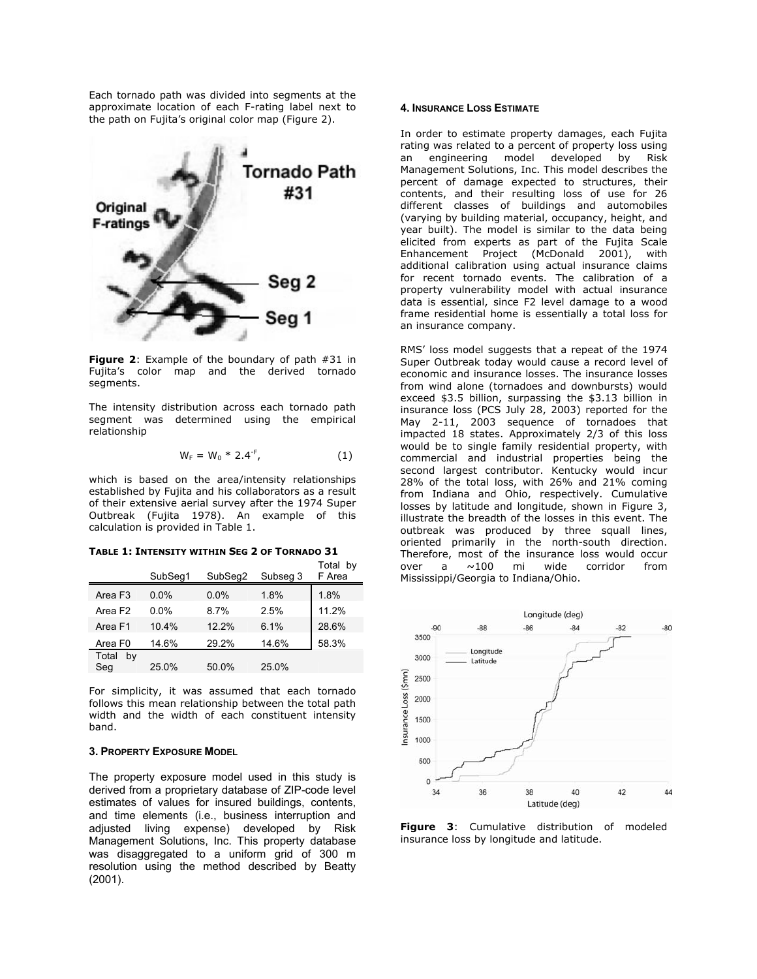Each tornado path was divided into segments at the approximate location of each F-rating label next to the path on Fujita's original color map (Figure 2).



**Figure 2**: Example of the boundary of path #31 in Fujita's color map and the derived tornado segments.

The intensity distribution across each tornado path segment was determined using the empirical relationship

$$
W_F = W_0 * 2.4^{-F}, \t\t(1)
$$

which is based on the area/intensity relationships established by Fujita and his collaborators as a result of their extensive aerial survey after the 1974 Super Outbreak (Fujita 1978). An example of this calculation is provided in Table 1.

| TABLE 1: INTENSITY WITHIN SEG 2 OF TORNADO 31 |  |  |  |  |  |  |  |
|-----------------------------------------------|--|--|--|--|--|--|--|
|-----------------------------------------------|--|--|--|--|--|--|--|

|                     | SubSeq1 | SubSeq2 | Subseg 3 | Total by<br>F Area |
|---------------------|---------|---------|----------|--------------------|
| Area F <sub>3</sub> | $0.0\%$ | $0.0\%$ | 1.8%     | 1.8%               |
| Area F <sub>2</sub> | $0.0\%$ | $8.7\%$ | 2.5%     | 11.2%              |
| Area F1             | 10.4%   | 12.2%   | 6.1%     | 28.6%              |
| Area F <sub>0</sub> | 14.6%   | 29.2%   | 14.6%    | 58.3%              |
| Total<br>bv<br>Seg  | 25.0%   | 50.0%   | 25.0%    |                    |

For simplicity, it was assumed that each tornado follows this mean relationship between the total path width and the width of each constituent intensity band.

# **3. PROPERTY EXPOSURE MODEL**

The property exposure model used in this study is derived from a proprietary database of ZIP-code level estimates of values for insured buildings, contents, and time elements (i.e., business interruption and adjusted living expense) developed by Risk Management Solutions, Inc. This property database was disaggregated to a uniform grid of 300 m resolution using the method described by Beatty (2001).

## **4. INSURANCE LOSS ESTIMATE**

In order to estimate property damages, each Fujita rating was related to a percent of property loss using an engineering model developed by Risk Management Solutions, Inc. This model describes the percent of damage expected to structures, their contents, and their resulting loss of use for 26 different classes of buildings and automobiles (varying by building material, occupancy, height, and year built). The model is similar to the data being elicited from experts as part of the Fujita Scale Enhancement Project (McDonald 2001), with additional calibration using actual insurance claims for recent tornado events. The calibration of a property vulnerability model with actual insurance data is essential, since F2 level damage to a wood frame residential home is essentially a total loss for an insurance company.

RMS' loss model suggests that a repeat of the 1974 Super Outbreak today would cause a record level of economic and insurance losses. The insurance losses from wind alone (tornadoes and downbursts) would exceed \$3.5 billion, surpassing the \$3.13 billion in insurance loss (PCS July 28, 2003) reported for the May 2-11, 2003 sequence of tornadoes that impacted 18 states. Approximately 2/3 of this loss would be to single family residential property, with commercial and industrial properties being the second largest contributor. Kentucky would incur 28% of the total loss, with 26% and 21% coming from Indiana and Ohio, respectively. Cumulative losses by latitude and longitude, shown in Figure 3, illustrate the breadth of the losses in this event. The outbreak was produced by three squall lines, oriented primarily in the north-south direction. Therefore, most of the insurance loss would occur over a ~100 mi wide corridor from Mississippi/Georgia to Indiana/Ohio.



**Figure 3**: Cumulative distribution of modeled insurance loss by longitude and latitude.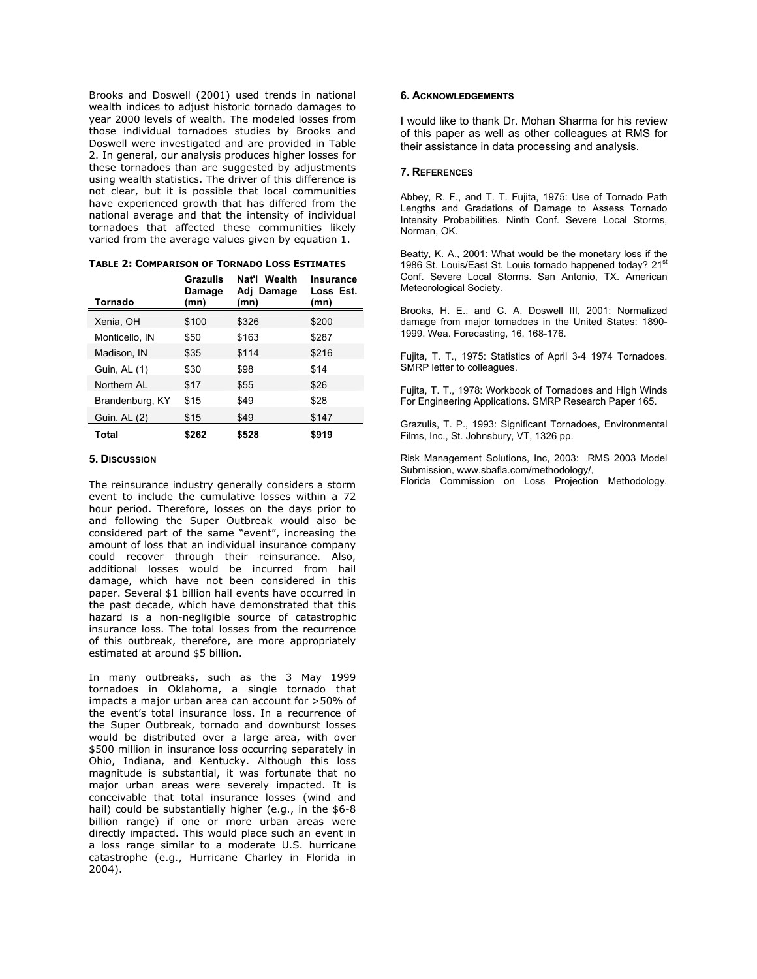Brooks and Doswell (2001) used trends in national wealth indices to adjust historic tornado damages to year 2000 levels of wealth. The modeled losses from those individual tornadoes studies by Brooks and Doswell were investigated and are provided in Table 2. In general, our analysis produces higher losses for these tornadoes than are suggested by adjustments using wealth statistics. The driver of this difference is not clear, but it is possible that local communities have experienced growth that has differed from the national average and that the intensity of individual tornadoes that affected these communities likely varied from the average values given by equation 1.

| Tornado         | Grazulis<br>Damage<br>(mn) | Nat'l Wealth<br>Adj Damage<br>(mn) | Insurance<br>Loss Est.<br>(mn) |
|-----------------|----------------------------|------------------------------------|--------------------------------|
| Xenia. OH       | \$100                      | \$326                              | \$200                          |
| Monticello. IN  | \$50                       | \$163                              | \$287                          |
| Madison, IN     | \$35                       | \$114                              | \$216                          |
| Guin, AL (1)    | \$30                       | \$98                               | \$14                           |
| Northern AL     | \$17                       | \$55                               | \$26                           |
| Brandenburg, KY | \$15                       | \$49                               | \$28                           |
| Guin, AL (2)    | \$15                       | \$49                               | \$147                          |
| Total           | \$262                      | \$528                              | \$919                          |

**TABLE 2: COMPARISON OF TORNADO LOSS ESTIMATES**

## **5. DISCUSSION**

The reinsurance industry generally considers a storm event to include the cumulative losses within a 72 hour period. Therefore, losses on the days prior to and following the Super Outbreak would also be considered part of the same "event", increasing the amount of loss that an individual insurance company could recover through their reinsurance. Also, additional losses would be incurred from hail damage, which have not been considered in this paper. Several \$1 billion hail events have occurred in the past decade, which have demonstrated that this hazard is a non-negligible source of catastrophic insurance loss. The total losses from the recurrence of this outbreak, therefore, are more appropriately estimated at around \$5 billion.

In many outbreaks, such as the 3 May 1999 tornadoes in Oklahoma, a single tornado that impacts a major urban area can account for >50% of the event's total insurance loss. In a recurrence of the Super Outbreak, tornado and downburst losses would be distributed over a large area, with over \$500 million in insurance loss occurring separately in Ohio, Indiana, and Kentucky. Although this loss magnitude is substantial, it was fortunate that no major urban areas were severely impacted. It is conceivable that total insurance losses (wind and hail) could be substantially higher (e.g., in the \$6-8 billion range) if one or more urban areas were directly impacted. This would place such an event in a loss range similar to a moderate U.S. hurricane catastrophe (e.g., Hurricane Charley in Florida in 2004).

## **6. ACKNOWLEDGEMENTS**

I would like to thank Dr. Mohan Sharma for his review of this paper as well as other colleagues at RMS for their assistance in data processing and analysis.

#### **7. REFERENCES**

Abbey, R. F., and T. T. Fujita, 1975: Use of Tornado Path Lengths and Gradations of Damage to Assess Tornado Intensity Probabilities. Ninth Conf. Severe Local Storms, Norman, OK.

Beatty, K. A., 2001: What would be the monetary loss if the 1986 St. Louis/East St. Louis tornado happened today? 21st Conf. Severe Local Storms. San Antonio, TX. American Meteorological Society.

Brooks, H. E., and C. A. Doswell III, 2001: Normalized damage from major tornadoes in the United States: 1890- 1999. Wea. Forecasting, 16, 168-176.

Fujita, T. T., 1975: Statistics of April 3-4 1974 Tornadoes. SMRP letter to colleagues.

Fujita, T. T., 1978: Workbook of Tornadoes and High Winds For Engineering Applications. SMRP Research Paper 165.

Grazulis, T. P., 1993: Significant Tornadoes, Environmental Films, Inc., St. Johnsbury, VT, 1326 pp.

Risk Management Solutions, Inc, 2003: RMS 2003 Model Submission, www.sbafla.com/methodology/, Florida Commission on Loss Projection Methodology.